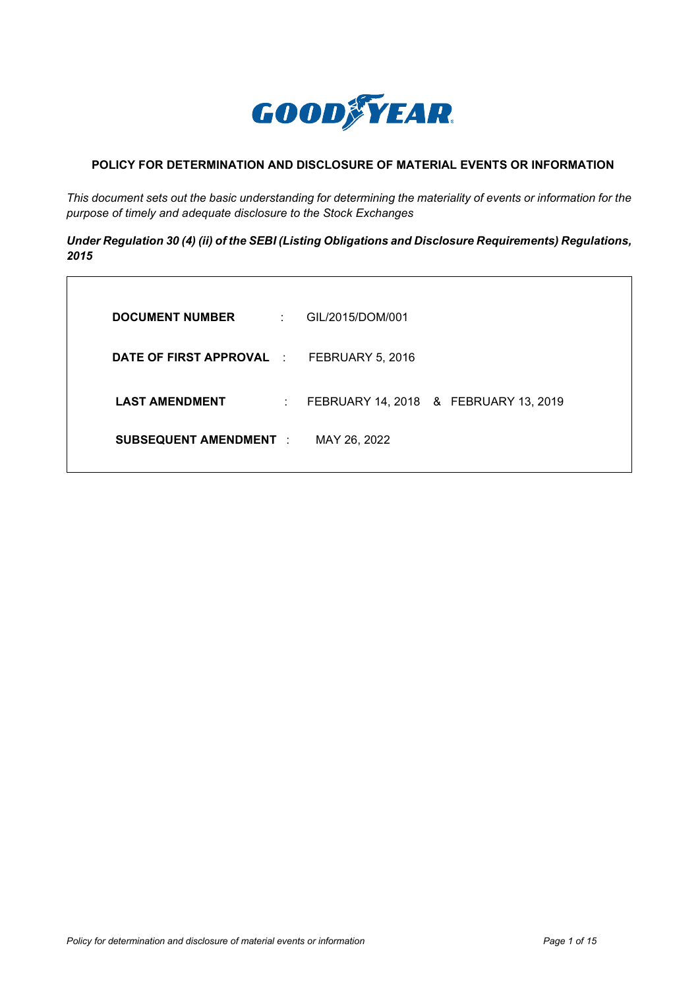

# **POLICY FOR DETERMINATION AND DISCLOSURE OF MATERIAL EVENTS OR INFORMATION**

*This document sets out the basic understanding for determining the materiality of events or information for the purpose of timely and adequate disclosure to the Stock Exchanges*

*Under Regulation 30 (4) (ii) of the SEBI (Listing Obligations and Disclosure Requirements) Regulations, 2015*

| <b>DOCUMENT NUMBER</b><br><b>Contractor</b>        | GIL/2015/DOM/001                      |
|----------------------------------------------------|---------------------------------------|
| <b>DATE OF FIRST APPROVAL : FEBRUARY 5, 2016</b>   |                                       |
| <b>LAST AMENDMENT</b><br>$\mathbb{Z}^{\mathbb{Z}}$ | FEBRUARY 14, 2018 & FEBRUARY 13, 2019 |
| <b>SUBSEQUENT AMENDMENT :</b>                      | MAY 26, 2022                          |
|                                                    |                                       |

 $\overline{\Gamma}$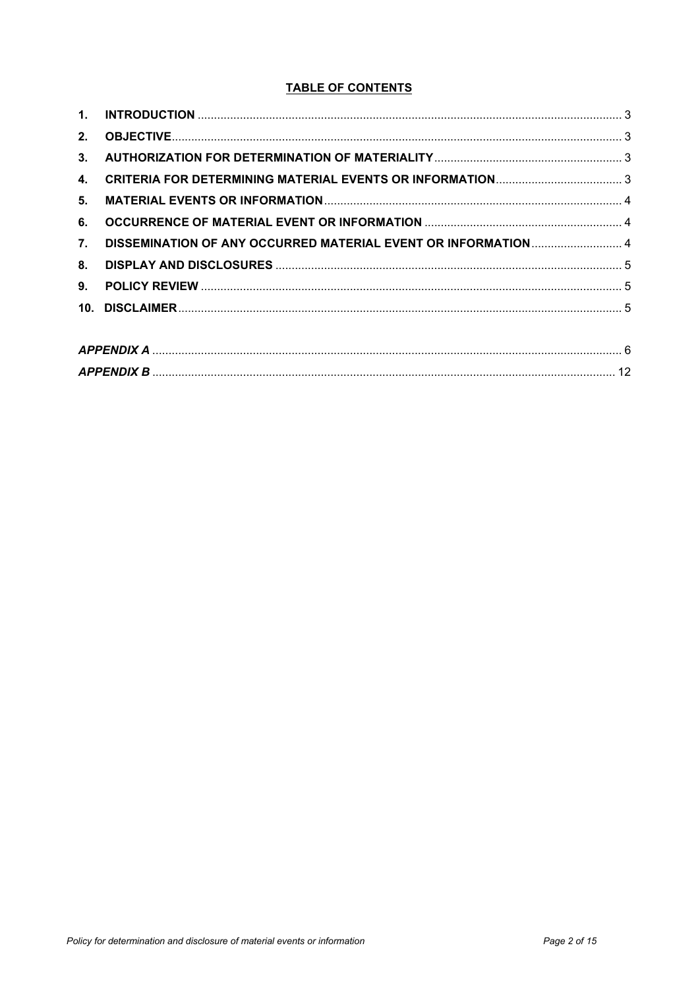# **TABLE OF CONTENTS**

| 2. |                                                                |  |
|----|----------------------------------------------------------------|--|
|    |                                                                |  |
| 4. |                                                                |  |
|    |                                                                |  |
| 6. |                                                                |  |
| 7. | DISSEMINATION OF ANY OCCURRED MATERIAL EVENT OR INFORMATION  4 |  |
| 8. |                                                                |  |
| 9. |                                                                |  |
|    |                                                                |  |
|    |                                                                |  |

| APPENDIX A        |  |
|-------------------|--|
| <b>APPENDIX B</b> |  |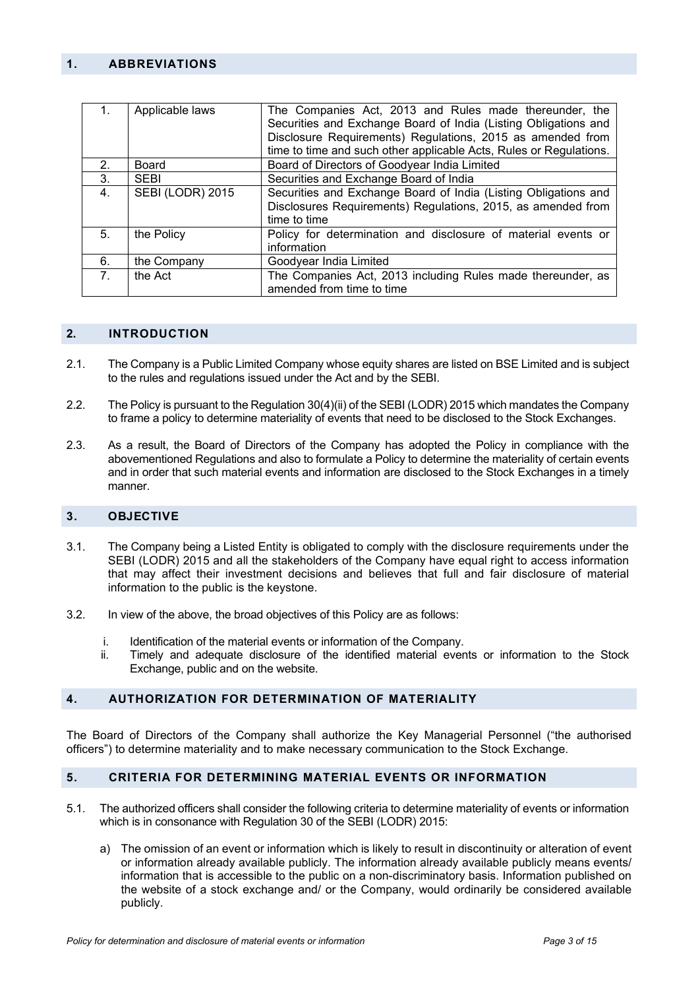### <span id="page-2-0"></span>**1. ABBREVIATIONS**

|                | Applicable laws  | The Companies Act, 2013 and Rules made thereunder, the<br>Securities and Exchange Board of India (Listing Obligations and |
|----------------|------------------|---------------------------------------------------------------------------------------------------------------------------|
|                |                  | Disclosure Requirements) Regulations, 2015 as amended from                                                                |
|                |                  | time to time and such other applicable Acts, Rules or Regulations.                                                        |
| 2.             | Board            | Board of Directors of Goodyear India Limited                                                                              |
| 3.             | <b>SEBI</b>      | Securities and Exchange Board of India                                                                                    |
| 4.             | SEBI (LODR) 2015 | Securities and Exchange Board of India (Listing Obligations and                                                           |
|                |                  | Disclosures Requirements) Regulations, 2015, as amended from                                                              |
|                |                  | time to time                                                                                                              |
| 5.             | the Policy       | Policy for determination and disclosure of material events or                                                             |
|                |                  | information                                                                                                               |
| 6.             | the Company      | Goodyear India Limited                                                                                                    |
| 7 <sub>1</sub> | the Act          | The Companies Act, 2013 including Rules made thereunder, as                                                               |
|                |                  | amended from time to time                                                                                                 |

#### **2. INTRODUCTION**

- 2.1. The Company is a Public Limited Company whose equity shares are listed on BSE Limited and is subject to the rules and regulations issued under the Act and by the SEBI.
- 2.2. The Policy is pursuant to the Regulation 30(4)(ii) of the SEBI (LODR) 2015 which mandates the Company to frame a policy to determine materiality of events that need to be disclosed to the Stock Exchanges.
- 2.3. As a result, the Board of Directors of the Company has adopted the Policy in compliance with the abovementioned Regulations and also to formulate a Policy to determine the materiality of certain events and in order that such material events and information are disclosed to the Stock Exchanges in a timely manner.

#### <span id="page-2-1"></span>**3. OBJECTIVE**

- 3.1. The Company being a Listed Entity is obligated to comply with the disclosure requirements under the SEBI (LODR) 2015 and all the stakeholders of the Company have equal right to access information that may affect their investment decisions and believes that full and fair disclosure of material information to the public is the keystone.
- 3.2. In view of the above, the broad objectives of this Policy are as follows:
	- i. Identification of the material events or information of the Company.
	- ii. Timely and adequate disclosure of the identified material events or information to the Stock Exchange, public and on the website.

#### <span id="page-2-2"></span>**4. AUTHORIZATION FOR DETERMINATION OF MATERIALITY**

The Board of Directors of the Company shall authorize the Key Managerial Personnel ("the authorised officers") to determine materiality and to make necessary communication to the Stock Exchange.

#### <span id="page-2-3"></span>**5. CRITERIA FOR DETERMINING MATERIAL EVENTS OR INFORMATION**

- 5.1. The authorized officers shall consider the following criteria to determine materiality of events or information which is in consonance with Regulation 30 of the SEBI (LODR) 2015:
	- a) The omission of an event or information which is likely to result in discontinuity or alteration of event or information already available publicly. The information already available publicly means events/ information that is accessible to the public on a non-discriminatory basis. Information published on the website of a stock exchange and/ or the Company, would ordinarily be considered available publicly.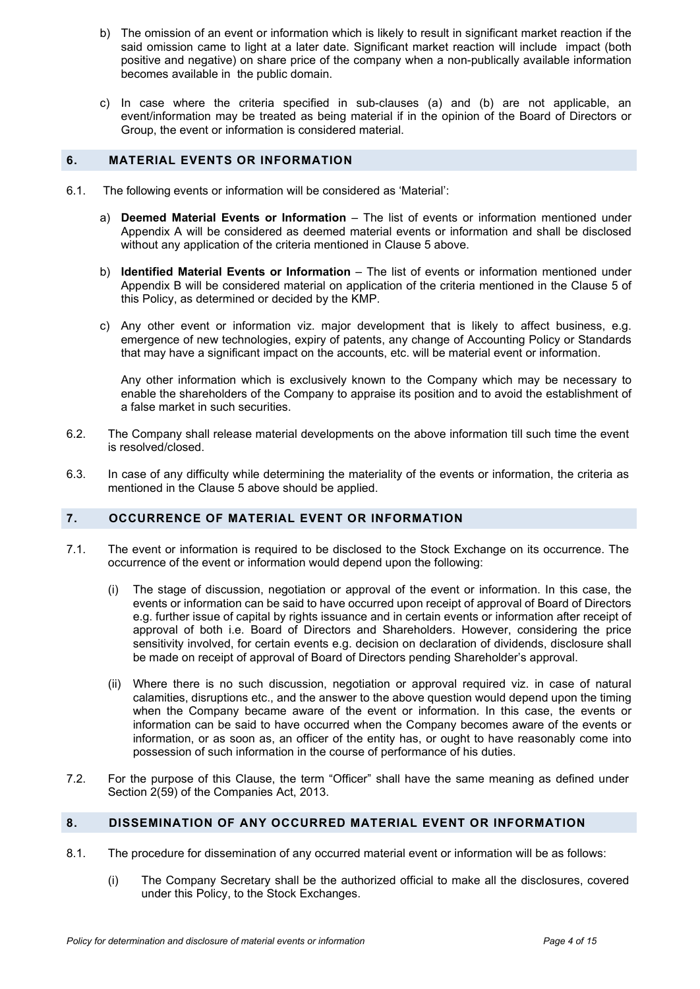- b) The omission of an event or information which is likely to result in significant market reaction if the said omission came to light at a later date. Significant market reaction will include impact (both positive and negative) on share price of the company when a non-publically available information becomes available in the public domain.
- c) In case where the criteria specified in sub-clauses (a) and (b) are not applicable, an event/information may be treated as being material if in the opinion of the Board of Directors or Group, the event or information is considered material.

# <span id="page-3-0"></span>**6. MATERIAL EVENTS OR INFORMATION**

- 6.1. The following events or information will be considered as 'Material':
	- a) **Deemed Material Events or Information** The list of events or information mentioned under Appendix A will be considered as deemed material events or information and shall be disclosed without any application of the criteria mentioned in Clause 5 above.
	- b) **Identified Material Events or Information** The list of events or information mentioned under Appendix B will be considered material on application of the criteria mentioned in the Clause 5 of this Policy, as determined or decided by the KMP.
	- c) Any other event or information viz. major development that is likely to affect business, e.g. emergence of new technologies, expiry of patents, any change of Accounting Policy or Standards that may have a significant impact on the accounts, etc. will be material event or information.

Any other information which is exclusively known to the Company which may be necessary to enable the shareholders of the Company to appraise its position and to avoid the establishment of a false market in such securities.

- 6.2. The Company shall release material developments on the above information till such time the event is resolved/closed.
- 6.3. In case of any difficulty while determining the materiality of the events or information, the criteria as mentioned in the Clause 5 above should be applied.

# <span id="page-3-1"></span>**7. OCCURRENCE OF MATERIAL EVENT OR INFORMATION**

- 7.1. The event or information is required to be disclosed to the Stock Exchange on its occurrence. The occurrence of the event or information would depend upon the following:
	- (i) The stage of discussion, negotiation or approval of the event or information. In this case, the events or information can be said to have occurred upon receipt of approval of Board of Directors e.g. further issue of capital by rights issuance and in certain events or information after receipt of approval of both i.e. Board of Directors and Shareholders. However, considering the price sensitivity involved, for certain events e.g. decision on declaration of dividends, disclosure shall be made on receipt of approval of Board of Directors pending Shareholder's approval.
	- (ii) Where there is no such discussion, negotiation or approval required viz. in case of natural calamities, disruptions etc., and the answer to the above question would depend upon the timing when the Company became aware of the event or information. In this case, the events or information can be said to have occurred when the Company becomes aware of the events or information, or as soon as, an officer of the entity has, or ought to have reasonably come into possession of such information in the course of performance of his duties.
- 7.2. For the purpose of this Clause, the term "Officer" shall have the same meaning as defined under Section 2(59) of the Companies Act, 2013.

# <span id="page-3-2"></span>**8. DISSEMINATION OF ANY OCCURRED MATERIAL EVENT OR INFORMATION**

- 8.1. The procedure for dissemination of any occurred material event or information will be as follows:
	- (i) The Company Secretary shall be the authorized official to make all the disclosures, covered under this Policy, to the Stock Exchanges.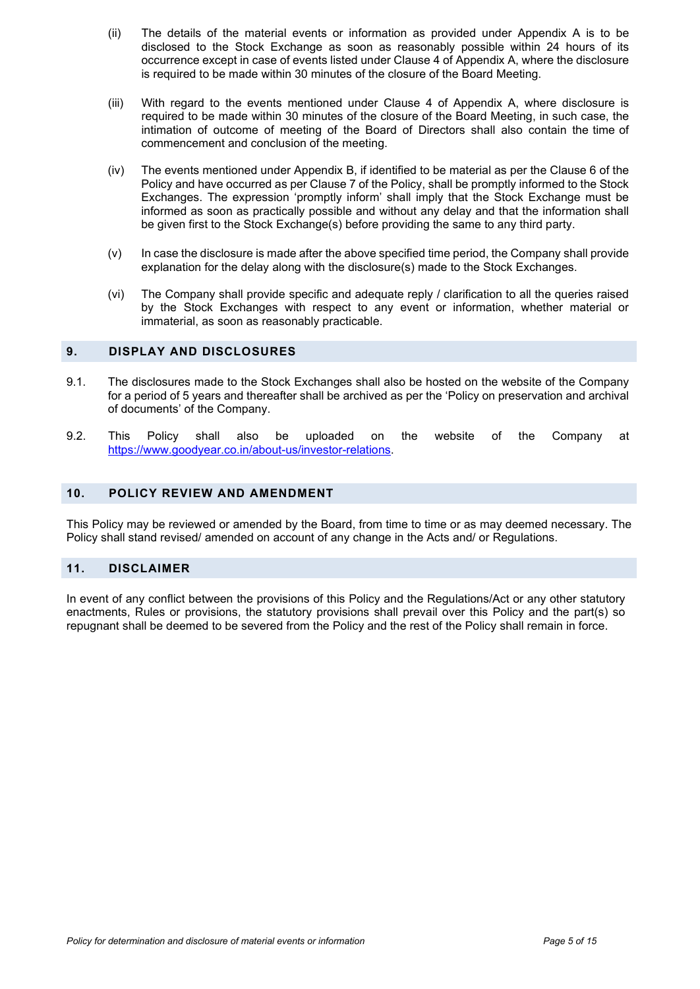- (ii) The details of the material events or information as provided under Appendix A is to be disclosed to the Stock Exchange as soon as reasonably possible within 24 hours of its occurrence except in case of events listed under Clause 4 of Appendix A, where the disclosure is required to be made within 30 minutes of the closure of the Board Meeting.
- (iii) With regard to the events mentioned under Clause 4 of Appendix A, where disclosure is required to be made within 30 minutes of the closure of the Board Meeting, in such case, the intimation of outcome of meeting of the Board of Directors shall also contain the time of commencement and conclusion of the meeting.
- (iv) The events mentioned under Appendix B, if identified to be material as per the Clause 6 of the Policy and have occurred as per Clause 7 of the Policy, shall be promptly informed to the Stock Exchanges. The expression 'promptly inform' shall imply that the Stock Exchange must be informed as soon as practically possible and without any delay and that the information shall be given first to the Stock Exchange(s) before providing the same to any third party.
- $(v)$  In case the disclosure is made after the above specified time period, the Company shall provide explanation for the delay along with the disclosure(s) made to the Stock Exchanges.
- (vi) The Company shall provide specific and adequate reply / clarification to all the queries raised by the Stock Exchanges with respect to any event or information, whether material or immaterial, as soon as reasonably practicable.

# <span id="page-4-0"></span>**9. DISPLAY AND DISCLOSURES**

- 9.1. The disclosures made to the Stock Exchanges shall also be hosted on the website of the Company for a period of 5 years and thereafter shall be archived as per the 'Policy on preservation and archival of documents' of the Company.
- 9.2. This Policy shall also be uploaded on the website of the Company at [https://www.goodyear.co.in/about-us/investor-relations.](https://www.goodyear.co.in/about-us/investor-relations)

# <span id="page-4-1"></span>**10. POLICY REVIEW AND AMENDMENT**

This Policy may be reviewed or amended by the Board, from time to time or as may deemed necessary. The Policy shall stand revised/ amended on account of any change in the Acts and/ or Regulations.

# <span id="page-4-2"></span>**11. DISCLAIMER**

In event of any conflict between the provisions of this Policy and the Regulations/Act or any other statutory enactments, Rules or provisions, the statutory provisions shall prevail over this Policy and the part(s) so repugnant shall be deemed to be severed from the Policy and the rest of the Policy shall remain in force.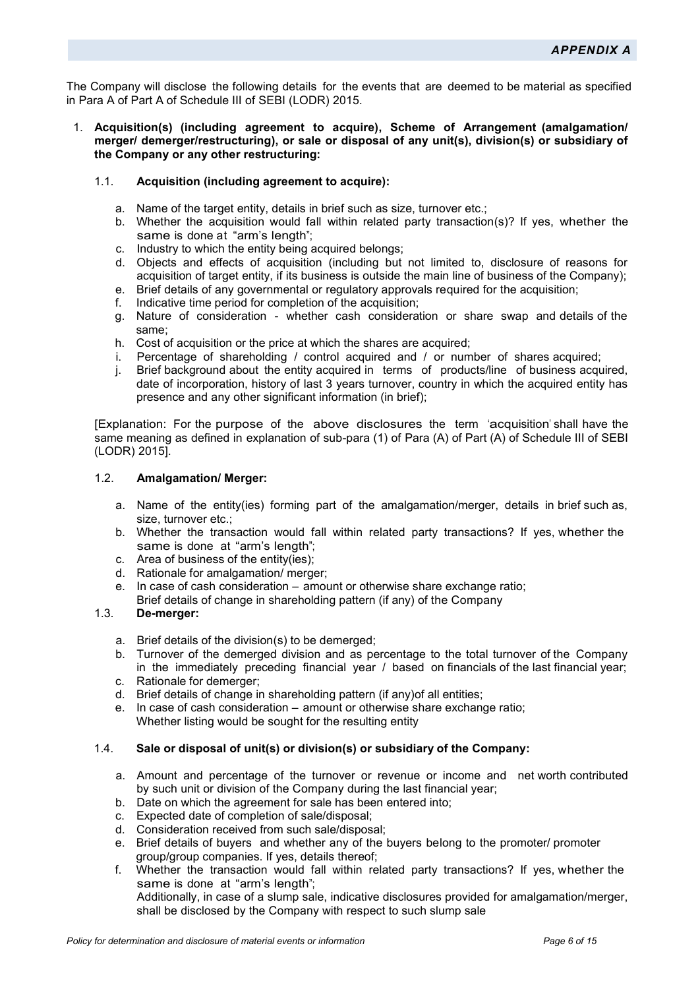<span id="page-5-0"></span>The Company will disclose the following details for the events that are deemed to be material as specified in Para A of Part A of Schedule III of SEBI (LODR) 2015.

- 1. **Acquisition(s) (including agreement to acquire), Scheme of Arrangement (amalgamation/ merger/ demerger/restructuring), or sale or disposal of any unit(s), division(s) or subsidiary of the Company or any other restructuring:** 
	- 1.1. **Acquisition (including agreement to acquire):** 
		- a. Name of the target entity, details in brief such as size, turnover etc.;
		- b. Whether the acquisition would fall within related party transaction(s)? If yes, whether the same is done at "arm's length";
		- c. Industry to which the entity being acquired belongs;
		- d. Objects and effects of acquisition (including but not limited to, disclosure of reasons for acquisition of target entity, if its business is outside the main line of business of the Company);
		- e. Brief details of any governmental or regulatory approvals required for the acquisition;
		- f. Indicative time period for completion of the acquisition;
		- g. Nature of consideration whether cash consideration or share swap and details of the same;
		- h. Cost of acquisition or the price at which the shares are acquired;
		- i. Percentage of shareholding / control acquired and / or number of shares acquired;
		- j. Brief background about the entity acquired in terms of products/line of business acquired, date of incorporation, history of last 3 years turnover, country in which the acquired entity has presence and any other significant information (in brief);

[Explanation: For the purpose of the above disclosures the term 'acquisition' shall have the same meaning as defined in explanation of sub-para (1) of Para (A) of Part (A) of Schedule III of SEBI (LODR) 2015].

### 1.2. **Amalgamation/ Merger:**

- a. Name of the entity(ies) forming part of the amalgamation/merger, details in brief such as, size, turnover etc.;
- b. Whether the transaction would fall within related party transactions? If yes, whether the same is done at "arm's length";
- c. Area of business of the entity(ies);
- d. Rationale for amalgamation/ merger;
- e. In case of cash consideration amount or otherwise share exchange ratio; Brief details of change in shareholding pattern (if any) of the Company

#### 1.3. **De-merger:**

- a. Brief details of the division(s) to be demerged;
- b. Turnover of the demerged division and as percentage to the total turnover of the Company in the immediately preceding financial year / based on financials of the last financial year;
- c. Rationale for demerger;
- d. Brief details of change in shareholding pattern (if any)of all entities;
- e. In case of cash consideration amount or otherwise share exchange ratio; Whether listing would be sought for the resulting entity

# 1.4. **Sale or disposal of unit(s) or division(s) or subsidiary of the Company:**

- a. Amount and percentage of the turnover or revenue or income and net worth contributed by such unit or division of the Company during the last financial year;
- b. Date on which the agreement for sale has been entered into;
- c. Expected date of completion of sale/disposal;
- d. Consideration received from such sale/disposal;
- e. Brief details of buyers and whether any of the buyers belong to the promoter/ promoter group/group companies. If yes, details thereof;
- f. Whether the transaction would fall within related party transactions? If yes, whether the same is done at "arm's length": Additionally, in case of a slump sale, indicative disclosures provided for amalgamation/merger, shall be disclosed by the Company with respect to such slump sale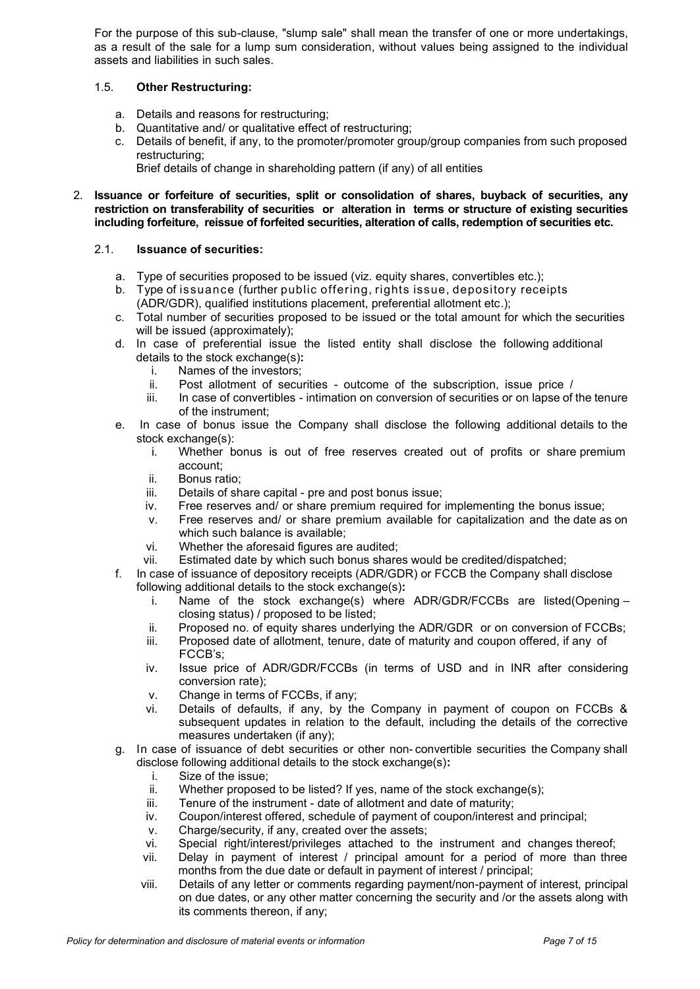For the purpose of this sub-clause, "slump sale" shall mean the transfer of one or more undertakings, as a result of the sale for a lump sum consideration, without values being assigned to the individual assets and liabilities in such sales.

# 1.5. **Other Restructuring:**

- a. Details and reasons for restructuring;
- b. Quantitative and/ or qualitative effect of restructuring;
- c. Details of benefit, if any, to the promoter/promoter group/group companies from such proposed restructuring;
	- Brief details of change in shareholding pattern (if any) of all entities
- 2. **Issuance or forfeiture of securities, split or consolidation of shares, buyback of securities, any restriction on transferability of securities or alteration in terms or structure of existing securities including forfeiture, reissue of forfeited securities, alteration of calls, redemption of securities etc.**

### 2.1. **Issuance of securities:**

- a. Type of securities proposed to be issued (viz. equity shares, convertibles etc.);
- b. Type of issuance (further public offering, rights issue, depository receipts (ADR/GDR), qualified institutions placement, preferential allotment etc.);
- c. Total number of securities proposed to be issued or the total amount for which the securities will be issued (approximately);
- d. In case of preferential issue the listed entity shall disclose the following additional details to the stock exchange(s)**:**
	- i. Names of the investors;<br>ii. Post allotment of secul
	- Post allotment of securities outcome of the subscription, issue price /
	- iii. In case of convertibles intimation on conversion of securities or on lapse of the tenure of the instrument;
- e. In case of bonus issue the Company shall disclose the following additional details to the stock exchange(s):
	- i. Whether bonus is out of free reserves created out of profits or share premium account;
	- ii. Bonus ratio;
	- iii. Details of share capital pre and post bonus issue;<br>iv. Free reserves and/ or share premium required for
	- Free reserves and/ or share premium required for implementing the bonus issue;
	- v. Free reserves and/ or share premium available for capitalization and the date as on which such balance is available;
	-
	- vi. Whether the aforesaid figures are audited;<br>vii. Estimated date by which such bonus share Estimated date by which such bonus shares would be credited/dispatched;
- f. In case of issuance of depository receipts (ADR/GDR) or FCCB the Company shall disclose following additional details to the stock exchange(s)**:**
	- Name of the stock exchange(s) where ADR/GDR/FCCBs are listed(Opening closing status) / proposed to be listed;
	- ii. Proposed no. of equity shares underlying the ADR/GDR or on conversion of FCCBs;
	- iii. Proposed date of allotment, tenure, date of maturity and coupon offered, if any of FCCB's;
	- iv. Issue price of ADR/GDR/FCCBs (in terms of USD and in INR after considering conversion rate);
	- v. Change in terms of FCCBs, if any;
	- vi. Details of defaults, if any, by the Company in payment of coupon on FCCBs & subsequent updates in relation to the default, including the details of the corrective measures undertaken (if any);
- g. In case of issuance of debt securities or other non- convertible securities the Company shall disclose following additional details to the stock exchange(s)**:**
	-
	- i. Size of the issue;<br>ii. Whether proposee Whether proposed to be listed? If yes, name of the stock exchange(s);
	- iii. Tenure of the instrument date of allotment and date of maturity;
	- iv. Coupon/interest offered, schedule of payment of coupon/interest and principal;
	- v. Charge/security, if any, created over the assets;
	- vi. Special right/interest/privileges attached to the instrument and changes thereof;
	- vii. Delay in payment of interest / principal amount for a period of more than three months from the due date or default in payment of interest / principal;
	- viii. Details of any letter or comments regarding payment/non-payment of interest, principal on due dates, or any other matter concerning the security and /or the assets along with its comments thereon, if any;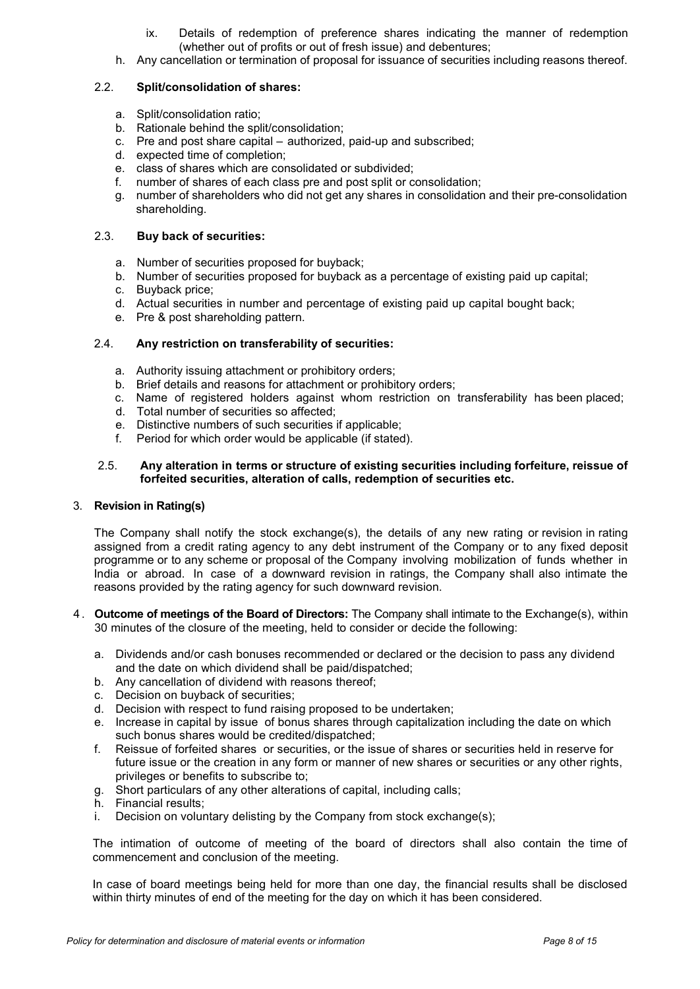- ix. Details of redemption of preference shares indicating the manner of redemption (whether out of profits or out of fresh issue) and debentures;
- h. Any cancellation or termination of proposal for issuance of securities including reasons thereof.

# 2.2. **Split/consolidation of shares:**

- a. Split/consolidation ratio;
- b. Rationale behind the split/consolidation;
- c. Pre and post share capital authorized, paid-up and subscribed;
- d. expected time of completion;
- e. class of shares which are consolidated or subdivided;
- f. number of shares of each class pre and post split or consolidation;
- g. number of shareholders who did not get any shares in consolidation and their pre-consolidation shareholding.

# 2.3. **Buy back of securities:**

- a. Number of securities proposed for buyback;
- b. Number of securities proposed for buyback as a percentage of existing paid up capital;
- c. Buyback price;
- d. Actual securities in number and percentage of existing paid up capital bought back;
- e. Pre & post shareholding pattern.

# 2.4. **Any restriction on transferability of securities:**

- a. Authority issuing attachment or prohibitory orders;
- b. Brief details and reasons for attachment or prohibitory orders;
- c. Name of registered holders against whom restriction on transferability has been placed;
- d. Total number of securities so affected;
- e. Distinctive numbers of such securities if applicable;
- f. Period for which order would be applicable (if stated).

#### 2.5. **Any alteration in terms or structure of existing securities including forfeiture, reissue of forfeited securities, alteration of calls, redemption of securities etc.**

#### 3. **Revision in Rating(s)**

The Company shall notify the stock exchange(s), the details of any new rating or revision in rating assigned from a credit rating agency to any debt instrument of the Company or to any fixed deposit programme or to any scheme or proposal of the Company involving mobilization of funds whether in India or abroad. In case of a downward revision in ratings, the Company shall also intimate the reasons provided by the rating agency for such downward revision.

- 4 . **Outcome of meetings of the Board of Directors:** The Company shall intimate to the Exchange(s), within 30 minutes of the closure of the meeting, held to consider or decide the following:
	- a. Dividends and/or cash bonuses recommended or declared or the decision to pass any dividend and the date on which dividend shall be paid/dispatched;
	- b. Any cancellation of dividend with reasons thereof;
	- c. Decision on buyback of securities;
	- d. Decision with respect to fund raising proposed to be undertaken;
	- e. Increase in capital by issue of bonus shares through capitalization including the date on which such bonus shares would be credited/dispatched;
	- f. Reissue of forfeited shares or securities, or the issue of shares or securities held in reserve for future issue or the creation in any form or manner of new shares or securities or any other rights, privileges or benefits to subscribe to;
	- g. Short particulars of any other alterations of capital, including calls;
	- h. Financial results;
	- i. Decision on voluntary delisting by the Company from stock exchange(s);

The intimation of outcome of meeting of the board of directors shall also contain the time of commencement and conclusion of the meeting.

In case of board meetings being held for more than one day, the financial results shall be disclosed within thirty minutes of end of the meeting for the day on which it has been considered.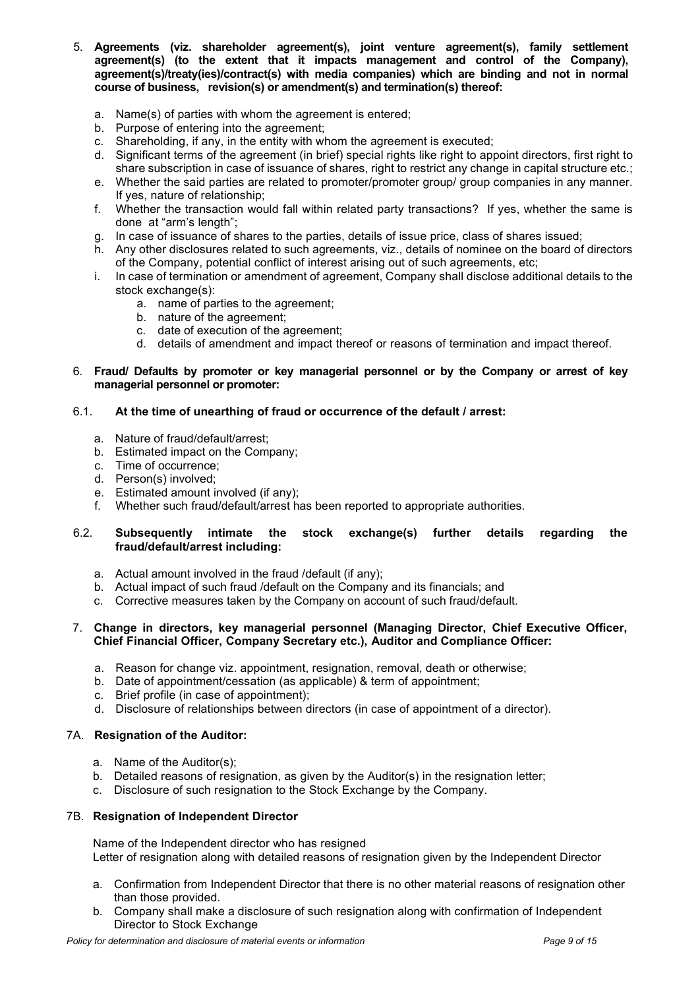- 5. **Agreements (viz. shareholder agreement(s), joint venture agreement(s), family settlement agreement(s) (to the extent that it impacts management and control of the Company), agreement(s)/treaty(ies)/contract(s) with media companies) which are binding and not in normal course of business, revision(s) or amendment(s) and termination(s) thereof:**
	- a. Name(s) of parties with whom the agreement is entered;
	- b. Purpose of entering into the agreement;
	- c. Shareholding, if any, in the entity with whom the agreement is executed;
	- d. Significant terms of the agreement (in brief) special rights like right to appoint directors, first right to share subscription in case of issuance of shares, right to restrict any change in capital structure etc.;
	- e. Whether the said parties are related to promoter/promoter group/ group companies in any manner. If yes, nature of relationship;
	- f. Whether the transaction would fall within related party transactions? If yes, whether the same is done at "arm's length";
	- g. In case of issuance of shares to the parties, details of issue price, class of shares issued;
	- h. Any other disclosures related to such agreements, viz., details of nominee on the board of directors of the Company, potential conflict of interest arising out of such agreements, etc;
	- i. In case of termination or amendment of agreement, Company shall disclose additional details to the stock exchange(s):
		- a. name of parties to the agreement;
		- b. nature of the agreement;
		- c. date of execution of the agreement;
		- d. details of amendment and impact thereof or reasons of termination and impact thereof.

#### 6. **Fraud/ Defaults by promoter or key managerial personnel or by the Company or arrest of key managerial personnel or promoter:**

#### 6.1. **At the time of unearthing of fraud or occurrence of the default / arrest:**

- a. Nature of fraud/default/arrest;
- b. Estimated impact on the Company;
- c. Time of occurrence;
- d. Person(s) involved;
- e. Estimated amount involved (if any);
- f. Whether such fraud/default/arrest has been reported to appropriate authorities.

#### 6.2. **Subsequently intimate the stock exchange(s) further details regarding the fraud/default/arrest including:**

- a. Actual amount involved in the fraud /default (if any);
- b. Actual impact of such fraud /default on the Company and its financials; and
- c. Corrective measures taken by the Company on account of such fraud/default.

### 7. **Change in directors, key managerial personnel (Managing Director, Chief Executive Officer, Chief Financial Officer, Company Secretary etc.), Auditor and Compliance Officer:**

- a. Reason for change viz. appointment, resignation, removal, death or otherwise;
- b. Date of appointment/cessation (as applicable) & term of appointment;
- c. Brief profile (in case of appointment);
- d. Disclosure of relationships between directors (in case of appointment of a director).

# 7A. **Resignation of the Auditor:**

- a. Name of the Auditor(s);
- b. Detailed reasons of resignation, as given by the Auditor(s) in the resignation letter;
- c. Disclosure of such resignation to the Stock Exchange by the Company.

#### 7B. **Resignation of Independent Director**

Name of the Independent director who has resigned Letter of resignation along with detailed reasons of resignation given by the Independent Director

- a. Confirmation from Independent Director that there is no other material reasons of resignation other than those provided.
- b. Company shall make a disclosure of such resignation along with confirmation of Independent Director to Stock Exchange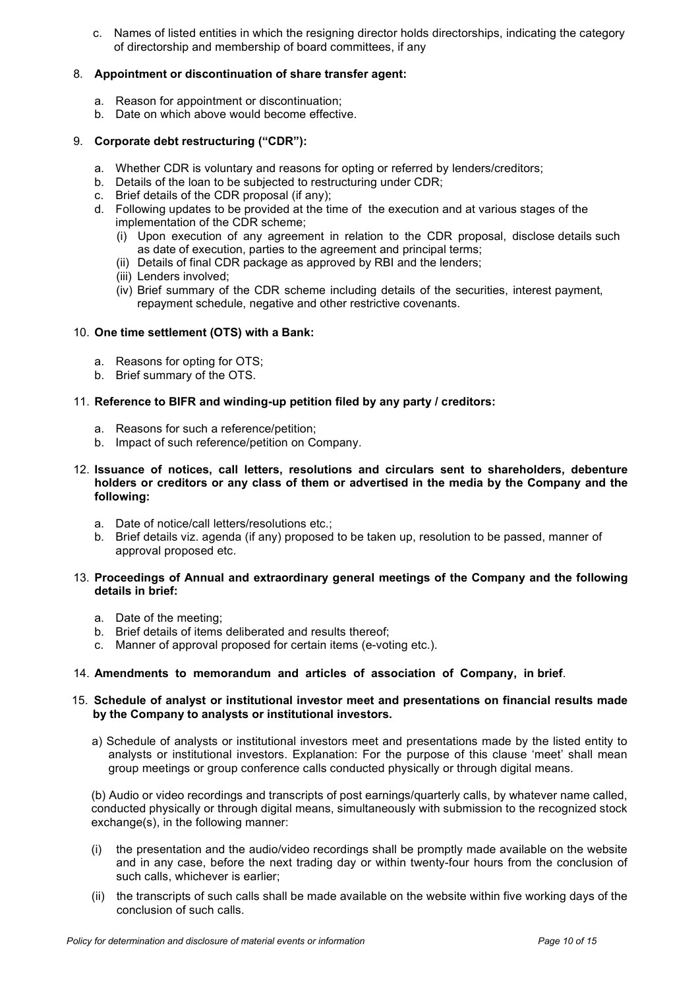c. Names of listed entities in which the resigning director holds directorships, indicating the category of directorship and membership of board committees, if any

# 8. **Appointment or discontinuation of share transfer agent:**

- a. Reason for appointment or discontinuation;
- b. Date on which above would become effective.

# 9. **Corporate debt restructuring ("CDR"):**

- a. Whether CDR is voluntary and reasons for opting or referred by lenders/creditors;
- b. Details of the loan to be subjected to restructuring under CDR;
- c. Brief details of the CDR proposal (if any);
- d. Following updates to be provided at the time of the execution and at various stages of the implementation of the CDR scheme;
	- (i) Upon execution of any agreement in relation to the CDR proposal, disclose details such as date of execution, parties to the agreement and principal terms;
	- (ii) Details of final CDR package as approved by RBI and the lenders;
	- (iii) Lenders involved;
	- (iv) Brief summary of the CDR scheme including details of the securities, interest payment, repayment schedule, negative and other restrictive covenants.

### 10. **One time settlement (OTS) with a Bank:**

- a. Reasons for opting for OTS;
- b. Brief summary of the OTS.

### 11. **Reference to BIFR and winding-up petition filed by any party / creditors:**

- a. Reasons for such a reference/petition;
- b. Impact of such reference/petition on Company.
- 12. **Issuance of notices, call letters, resolutions and circulars sent to shareholders, debenture holders or creditors or any class of them or advertised in the media by the Company and the following:**
	- a. Date of notice/call letters/resolutions etc.;
	- b. Brief details viz. agenda (if any) proposed to be taken up, resolution to be passed, manner of approval proposed etc.

#### 13. **Proceedings of Annual and extraordinary general meetings of the Company and the following details in brief:**

- a. Date of the meeting;
- b. Brief details of items deliberated and results thereof;
- c. Manner of approval proposed for certain items (e-voting etc.).

# 14. **Amendments to memorandum and articles of association of Company, in brief**.

#### 15. **Schedule of analyst or institutional investor meet and presentations on financial results made by the Company to analysts or institutional investors.**

a) Schedule of analysts or institutional investors meet and presentations made by the listed entity to analysts or institutional investors. Explanation: For the purpose of this clause 'meet' shall mean group meetings or group conference calls conducted physically or through digital means.

(b) Audio or video recordings and transcripts of post earnings/quarterly calls, by whatever name called, conducted physically or through digital means, simultaneously with submission to the recognized stock exchange(s), in the following manner:

- (i) the presentation and the audio/video recordings shall be promptly made available on the website and in any case, before the next trading day or within twenty-four hours from the conclusion of such calls, whichever is earlier;
- (ii) the transcripts of such calls shall be made available on the website within five working days of the conclusion of such calls.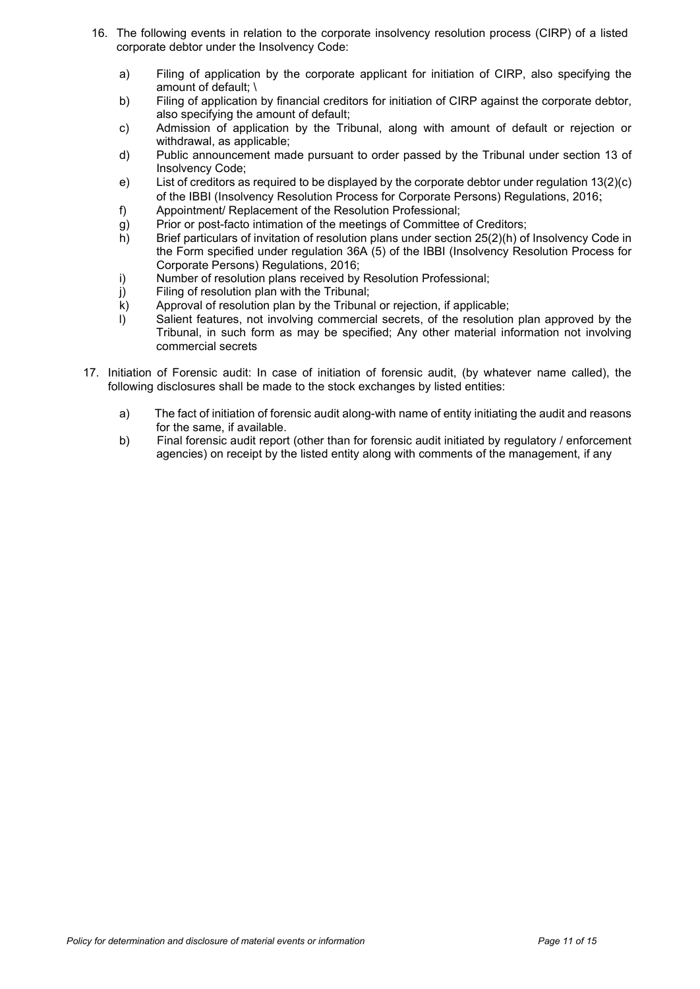- 16. The following events in relation to the corporate insolvency resolution process (CIRP) of a listed corporate debtor under the Insolvency Code:
	- a) Filing of application by the corporate applicant for initiation of CIRP, also specifying the amount of default; \
	- b) Filing of application by financial creditors for initiation of CIRP against the corporate debtor, also specifying the amount of default;
	- c) Admission of application by the Tribunal, along with amount of default or rejection or withdrawal, as applicable;
	- d) Public announcement made pursuant to order passed by the Tribunal under section 13 of Insolvency Code;
	- e) List of creditors as required to be displayed by the corporate debtor under regulation 13(2)(c) of the IBBI (Insolvency Resolution Process for Corporate Persons) Regulations, 2016;
	- f) Appointment/ Replacement of the Resolution Professional;<br>g) Prior or post-facto intimation of the meetings of Committee
	- g) Prior or post-facto intimation of the meetings of Committee of Creditors;<br>
	h) Brief particulars of invitation of resolution plans under section 25(2)(h) of
	- Brief particulars of invitation of resolution plans under section 25(2)(h) of Insolvency Code in the Form specified under regulation 36A (5) of the IBBI (Insolvency Resolution Process for Corporate Persons) Regulations, 2016;
	- i) Number of resolution plans received by Resolution Professional;
	- j) Filing of resolution plan with the Tribunal;
	- k) Approval of resolution plan by the Tribunal or rejection, if applicable;
	- l) Salient features, not involving commercial secrets, of the resolution plan approved by the Tribunal, in such form as may be specified; Any other material information not involving commercial secrets
- 17. Initiation of Forensic audit: In case of initiation of forensic audit, (by whatever name called), the following disclosures shall be made to the stock exchanges by listed entities:
	- a) The fact of initiation of forensic audit along-with name of entity initiating the audit and reasons for the same, if available.
	- b) Final forensic audit report (other than for forensic audit initiated by regulatory / enforcement agencies) on receipt by the listed entity along with comments of the management, if any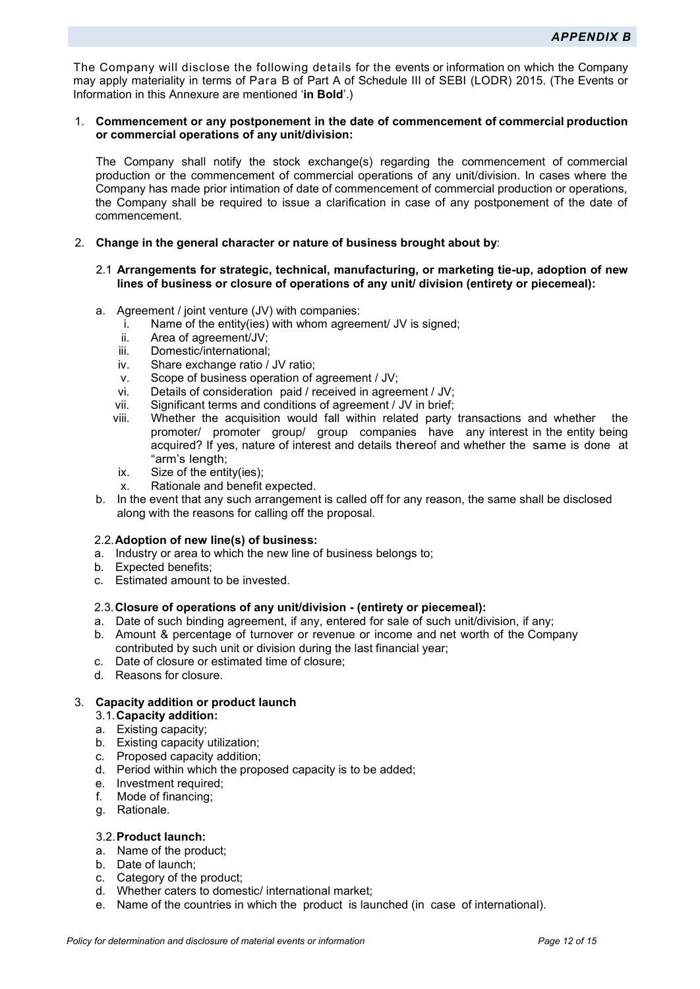<span id="page-11-0"></span>The Company will disclose the following details for the events or information on which the Company may apply materiality in terms of Para B of Part A of Schedule III of SEBI (LODR) 2015. (The Events or Information in this Annexure are mentioned '**in Bold**'.)

#### 1. **Commencement or any postponement in the date of commencement of commercial production or commercial operations of any unit/division:**

The Company shall notify the stock exchange(s) regarding the commencement of commercial production or the commencement of commercial operations of any unit/division. In cases where the Company has made prior intimation of date of commencement of commercial production or operations, the Company shall be required to issue a clarification in case of any postponement of the date of commencement.

#### 2. **Change in the general character or nature of business brought about by**:

#### 2.1 **Arrangements for strategic, technical, manufacturing, or marketing tie-up, adoption of new lines of business or closure of operations of any unit/ division (entirety or piecemeal):**

- a. Agreement / joint venture (JV) with companies:
	- i. Name of the entity(ies) with whom agreement/ JV is signed;
	- ii. Area of agreement/JV;
	- iii. Domestic/international;
	- iv. Share exchange ratio / JV ratio;
	- v. Scope of business operation of agreement / JV;
	-
	- vi. Details of consideration paid / received in agreement / JV;<br>vii. Significant terms and conditions of agreement / JV in brief; Significant terms and conditions of agreement / JV in brief;
	- viii. Whether the acquisition would fall within related party transactions and whether the promoter/ promoter group/ group companies have any interest in the entity being acquired? If yes, nature of interest and details thereof and whether the same is done at "arm's length:
	- ix. Size of the entity(ies);
	- x. Rationale and benefit expected.
- b. In the event that any such arrangement is called off for any reason, the same shall be disclosed along with the reasons for calling off the proposal.

#### 2.2. **Adoption of new line(s) of business:**

- a. Industry or area to which the new line of business belongs to;
- b. Expected benefits;
- c. Estimated amount to be invested.

#### 2.3. **Closure of operations of any unit/division - (entirety or piecemeal):**

- a. Date of such binding agreement, if any, entered for sale of such unit/division, if any;
- b. Amount & percentage of turnover or revenue or income and net worth of the Company contributed by such unit or division during the last financial year;
- c. Date of closure or estimated time of closure;
- d. Reasons for closure.

# 3. **Capacity addition or product launch**

- 3.1. **Capacity addition:**
- a. Existing capacity;
- b. Existing capacity utilization;
- c. Proposed capacity addition;
- d. Period within which the proposed capacity is to be added;
- e. Investment required;
- f. Mode of financing;
- g. Rationale.

#### 3.2. **Product launch:**

- a. Name of the product;
- b. Date of launch;
- c. Category of the product;
- d. Whether caters to domestic/ international market;
- e. Name of the countries in which the product is launched (in case of international).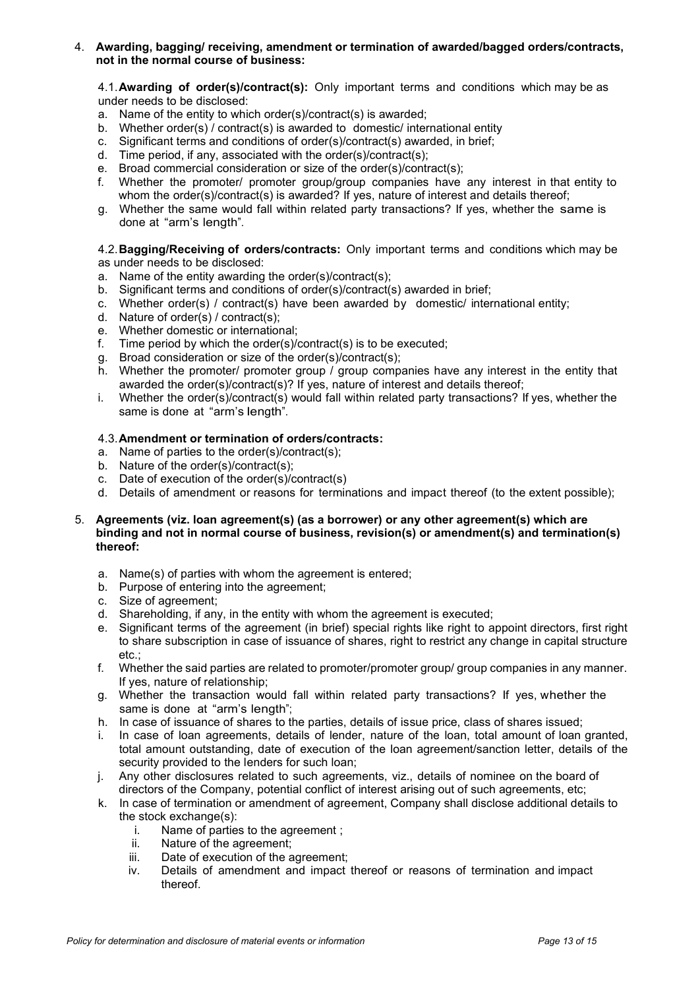#### 4. **Awarding, bagging/ receiving, amendment or termination of awarded/bagged orders/contracts, not in the normal course of business:**

4.1.**Awarding of order(s)/contract(s):** Only important terms and conditions which may be as under needs to be disclosed:

- a. Name of the entity to which order(s)/contract(s) is awarded;
- b. Whether order(s) / contract(s) is awarded to domestic/ international entity
- c. Significant terms and conditions of order(s)/contract(s) awarded, in brief;
- d. Time period, if any, associated with the order(s)/contract(s);
- e. Broad commercial consideration or size of the order(s)/contract(s);<br>f. Whether the promoter/ promoter group/group companies have
- Whether the promoter/ promoter group/group companies have any interest in that entity to whom the order(s)/contract(s) is awarded? If yes, nature of interest and details thereof;
- g. Whether the same would fall within related party transactions? If yes, whether the same is done at "arm's length".

4.2.**Bagging/Receiving of orders/contracts:** Only important terms and conditions which may be as under needs to be disclosed:

- a. Name of the entity awarding the order(s)/contract(s);
- b. Significant terms and conditions of order(s)/contract(s) awarded in brief;
- c. Whether order(s) / contract(s) have been awarded by domestic/ international entity;
- d. Nature of order(s) / contract(s);
- e. Whether domestic or international;
- f. Time period by which the order(s)/contract(s) is to be executed;
- g. Broad consideration or size of the order(s)/contract(s);
- h. Whether the promoter/ promoter group / group companies have any interest in the entity that awarded the order(s)/contract(s)? If yes, nature of interest and details thereof;
- i. Whether the order(s)/contract(s) would fall within related party transactions? If yes, whether the same is done at "arm's length".

#### 4.3.**Amendment or termination of orders/contracts:**

- a. Name of parties to the order(s)/contract(s);
- b. Nature of the order(s)/contract(s);
- c. Date of execution of the order(s)/contract(s)
- d. Details of amendment or reasons for terminations and impact thereof (to the extent possible);

#### 5. **Agreements (viz. loan agreement(s) (as a borrower) or any other agreement(s) which are binding and not in normal course of business, revision(s) or amendment(s) and termination(s) thereof:**

- a. Name(s) of parties with whom the agreement is entered;
- b. Purpose of entering into the agreement;
- c. Size of agreement;
- d. Shareholding, if any, in the entity with whom the agreement is executed;
- e. Significant terms of the agreement (in brief) special rights like right to appoint directors, first right to share subscription in case of issuance of shares, right to restrict any change in capital structure etc.;
- f. Whether the said parties are related to promoter/promoter group/ group companies in any manner. If yes, nature of relationship;
- g. Whether the transaction would fall within related party transactions? If yes, whether the same is done at "arm's length";
- h. In case of issuance of shares to the parties, details of issue price, class of shares issued;
- i. In case of loan agreements, details of lender, nature of the loan, total amount of loan granted, total amount outstanding, date of execution of the loan agreement/sanction letter, details of the security provided to the lenders for such loan;
- j. Any other disclosures related to such agreements, viz., details of nominee on the board of directors of the Company, potential conflict of interest arising out of such agreements, etc;
- k. In case of termination or amendment of agreement, Company shall disclose additional details to the stock exchange(s):
	- i. Name of parties to the agreement ;
	- ii. Nature of the agreement;
	- iii. Date of execution of the agreement;
	- iv. Details of amendment and impact thereof or reasons of termination and impact thereof.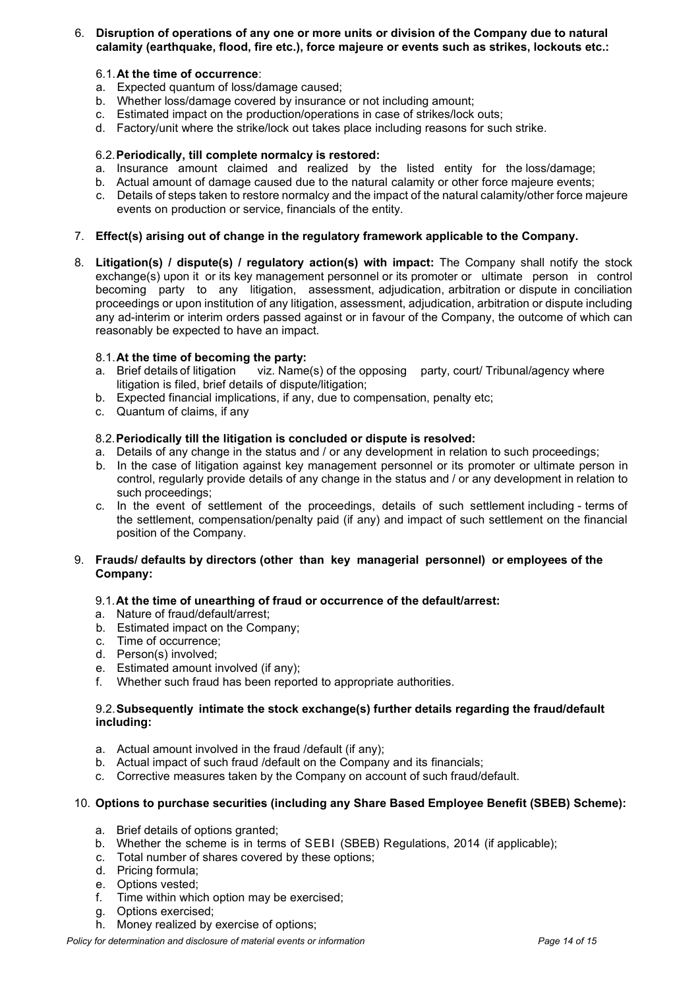# 6. **Disruption of operations of any one or more units or division of the Company due to natural calamity (earthquake, flood, fire etc.), force majeure or events such as strikes, lockouts etc.:**

#### 6.1.**At the time of occurrence**:

- a. Expected quantum of loss/damage caused;
- b. Whether loss/damage covered by insurance or not including amount;
- c. Estimated impact on the production/operations in case of strikes/lock outs;
- d. Factory/unit where the strike/lock out takes place including reasons for such strike.

### 6.2.**Periodically, till complete normalcy is restored:**

- a. Insurance amount claimed and realized by the listed entity for the loss/damage;
- b. Actual amount of damage caused due to the natural calamity or other force majeure events;
- c. Details of steps taken to restore normalcy and the impact of the natural calamity/other force majeure events on production or service, financials of the entity.

# 7. **Effect(s) arising out of change in the regulatory framework applicable to the Company.**

8. **Litigation(s) / dispute(s) / regulatory action(s) with impact:** The Company shall notify the stock exchange(s) upon it or its key management personnel or its promoter or ultimate person in control becoming party to any litigation, assessment, adjudication, arbitration or dispute in conciliation proceedings or upon institution of any litigation, assessment, adjudication, arbitration or dispute including any ad-interim or interim orders passed against or in favour of the Company, the outcome of which can reasonably be expected to have an impact.

# 8.1.**At the time of becoming the party:**

- viz. Name(s) of the opposing party, court/ Tribunal/agency where litigation is filed, brief details of dispute/litigation;
- b. Expected financial implications, if any, due to compensation, penalty etc;
- c. Quantum of claims, if any

### 8.2.**Periodically till the litigation is concluded or dispute is resolved:**

- a. Details of any change in the status and / or any development in relation to such proceedings;
- b. In the case of litigation against key management personnel or its promoter or ultimate person in control, regularly provide details of any change in the status and / or any development in relation to such proceedings;
- c. In the event of settlement of the proceedings, details of such settlement including terms of the settlement, compensation/penalty paid (if any) and impact of such settlement on the financial position of the Company.

### 9. **Frauds/ defaults by directors (other than key managerial personnel) or employees of the Company:**

# 9.1.**At the time of unearthing of fraud or occurrence of the default/arrest:**

- a. Nature of fraud/default/arrest;
- b. Estimated impact on the Company;
- c. Time of occurrence;
- d. Person(s) involved;
- e. Estimated amount involved (if any);
- f. Whether such fraud has been reported to appropriate authorities.

### 9.2.**Subsequently intimate the stock exchange(s) further details regarding the fraud/default including:**

- a. Actual amount involved in the fraud /default (if any);
- b. Actual impact of such fraud /default on the Company and its financials;
- c. Corrective measures taken by the Company on account of such fraud/default.

#### 10. **Options to purchase securities (including any Share Based Employee Benefit (SBEB) Scheme):**

- a. Brief details of options granted;
- b. Whether the scheme is in terms of SEBI (SBEB) Regulations, 2014 (if applicable);
- Total number of shares covered by these options;
- d. Pricing formula;
- e. Options vested;
- f. Time within which option may be exercised;
- g. Options exercised;
- h. Money realized by exercise of options;